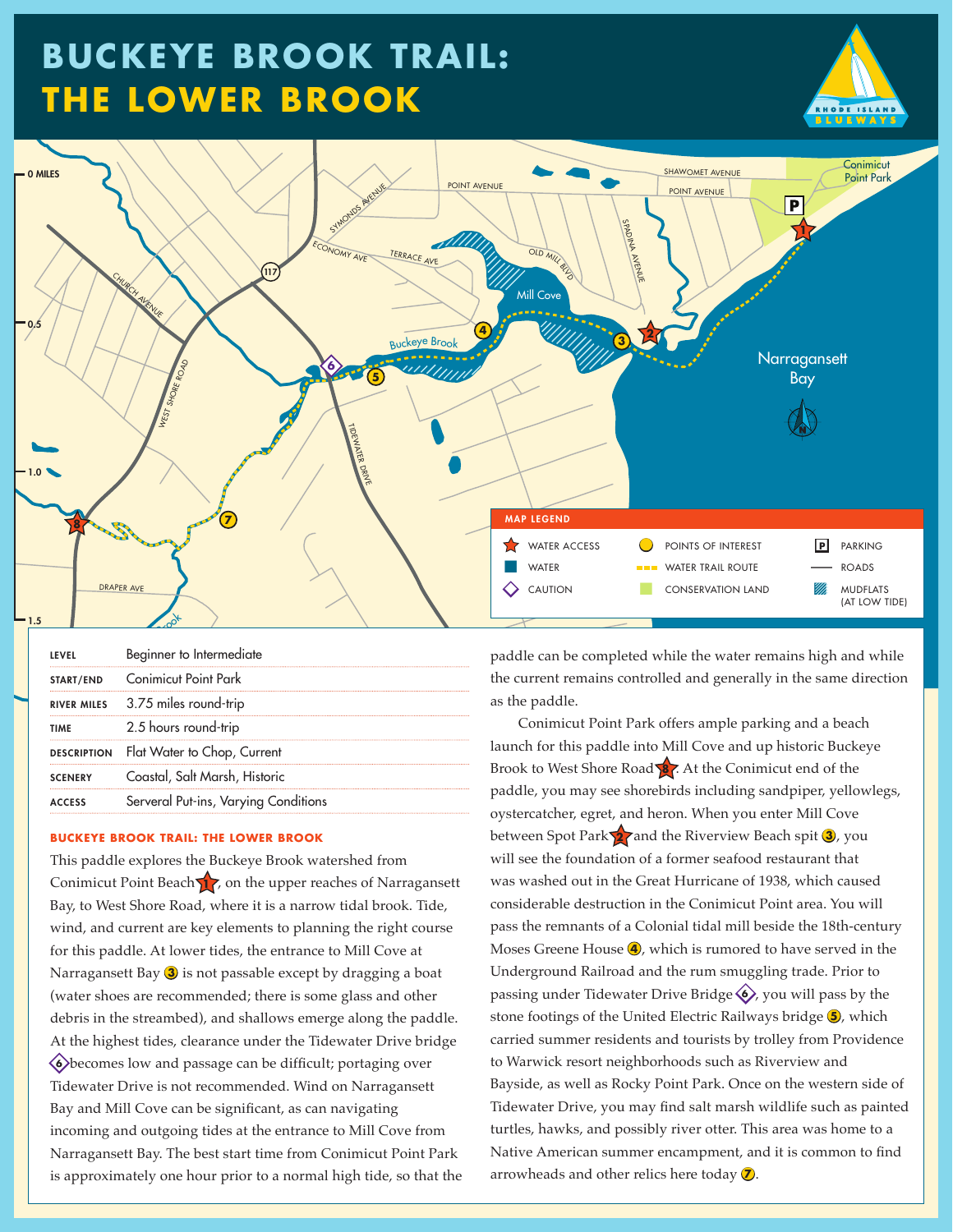# **Buckeye Brook Trail: The Lower Brook**





|                | Beginner to Intermediate                |
|----------------|-----------------------------------------|
|                | <b>START/END</b> Conimicut Point Park   |
|                | RIVER MILES 3.75 miles round-trip       |
| <b>TIMF</b>    | 2.5 hours round-trip                    |
|                | DESCRIPTION Flat Water to Chop, Current |
| <b>SCENERY</b> | Coastal, Salt Marsh, Historic           |
| <b>ACCESS</b>  | Serveral Put-ins, Varying Conditions    |

#### **BUCKEYE BROOK TRAIL: THE LOWER BROOK**

This paddle explores the Buckeye Brook watershed from Conimicut Point Beach 17, on the upper reaches of Narragansett Bay, to West Shore Road, where it is a narrow tidal brook. Tide, wind, and current are key elements to planning the right course for this paddle. At lower tides, the entrance to Mill Cove at Narragansett Bay **3** is not passable except by dragging a boat (water shoes are recommended; there is some glass and other debris in the streambed), and shallows emerge along the paddle. At the highest tides, clearance under the Tidewater Drive bridge u**<sup>6</sup>** becomes low and passage can be difficult; portaging over Tidewater Drive is not recommended. Wind on Narragansett Bay and Mill Cove can be significant, as can navigating incoming and outgoing tides at the entrance to Mill Cove from Narragansett Bay. The best start time from Conimicut Point Park is approximately one hour prior to a normal high tide, so that the paddle can be completed while the water remains high and while the current remains controlled and generally in the same direction as the paddle.

Conimicut Point Park offers ample parking and a beach launch for this paddle into Mill Cove and up historic Buckeye Brook to West Shore Road **8** . At the Conimicut end of the paddle, you may see shorebirds including sandpiper, yellowlegs, oystercatcher, egret, and heron. When you enter Mill Cove between Spot Park 27 and the Riverview Beach spit 3, you will see the foundation of a former seafood restaurant that was washed out in the Great Hurricane of 1938, which caused considerable destruction in the Conimicut Point area. You will pass the remnants of a Colonial tidal mill beside the 18th-century Moses Greene House **4**, which is rumored to have served in the Underground Railroad and the rum smuggling trade. Prior to passing under Tidewater Drive Bridge  $\langle \bullet \rangle$ , you will pass by the stone footings of the United Electric Railways bridge  $\bigcirc$ , which carried summer residents and tourists by trolley from Providence to Warwick resort neighborhoods such as Riverview and Bayside, as well as Rocky Point Park. Once on the western side of Tidewater Drive, you may find salt marsh wildlife such as painted turtles, hawks, and possibly river otter. This area was home to a Native American summer encampment, and it is common to find arrowheads and other relics here today  $\mathcal{D}$ .